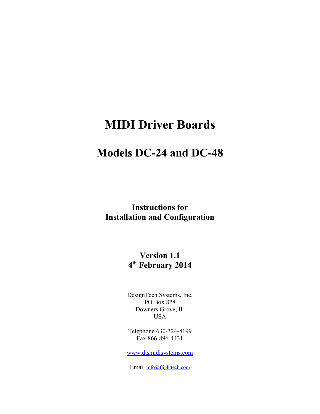# **MIDI Driver Boards**

# **Models DC-24 and DC-48**

**Instructions for Installation and Configuration**

> **Version 1.1 4 th February 2014**

DesignTech Systems, Inc. PO Box 828 Downers Grove, IL USA

Telephone 630-324-8199 Fax 866-896-4431

[www.dtsmidisystems.com](http://www.dstmidisystems.com/)

Email info@flighttech.com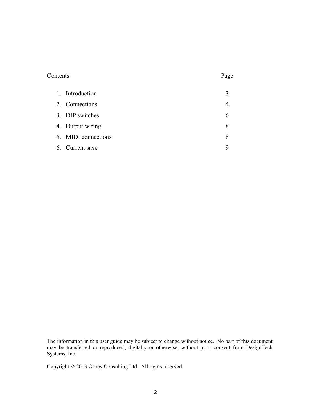# Contents Page

| 1. Introduction     |   |
|---------------------|---|
| 2. Connections      |   |
| 3. DIP switches     | h |
| 4. Output wiring    | 8 |
| 5. MIDI connections | 8 |
| 6. Current save     | Q |

The information in this user guide may be subject to change without notice. No part of this document may be transferred or reproduced, digitally or otherwise, without prior consent from DesignTech Systems, Inc.

Copyright © 2013 Osney Consulting Ltd. All rights reserved.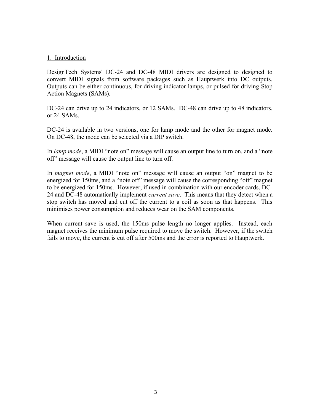#### 1. Introduction

DesignTech Systems' DC-24 and DC-48 MIDI drivers are designed to designed to convert MIDI signals from software packages such as Hauptwerk into DC outputs. Outputs can be either continuous, for driving indicator lamps, or pulsed for driving Stop Action Magnets (SAMs).

DC-24 can drive up to 24 indicators, or 12 SAMs. DC-48 can drive up to 48 indicators, or 24 SAMs.

DC-24 is available in two versions, one for lamp mode and the other for magnet mode. On DC-48, the mode can be selected via a DIP switch.

In *lamp mode*, a MIDI "note on" message will cause an output line to turn on, and a "note off" message will cause the output line to turn off.

In *magnet mode*, a MIDI "note on" message will cause an output "on" magnet to be energized for 150ms, and a "note off" message will cause the corresponding "off" magnet to be energized for 150ms. However, if used in combination with our encoder cards, DC-24 and DC-48 automatically implement *current save*. This means that they detect when a stop switch has moved and cut off the current to a coil as soon as that happens. This minimises power consumption and reduces wear on the SAM components.

When current save is used, the 150ms pulse length no longer applies. Instead, each magnet receives the minimum pulse required to move the switch. However, if the switch fails to move, the current is cut off after 500ms and the error is reported to Hauptwerk.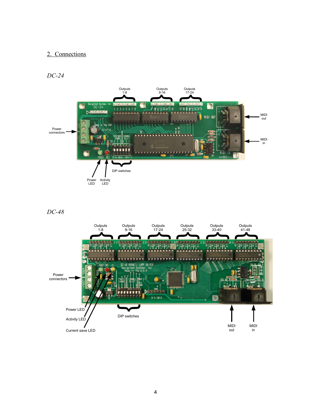# 2. Connections

*DC-24*



*DC-48*

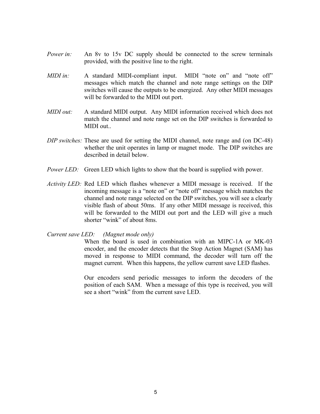- *Power in:* An 8y to 15y DC supply should be connected to the screw terminals provided, with the positive line to the right.
- *MIDI in:* A standard MIDI-compliant input. MIDI "note on" and "note off" messages which match the channel and note range settings on the DIP switches will cause the outputs to be energized. Any other MIDI messages will be forwarded to the MIDI out port.
- *MIDI out:* A standard MIDI output. Any MIDI information received which does not match the channel and note range set on the DIP switches is forwarded to MIDI out..
- *DIP switches:* These are used for setting the MIDI channel, note range and (on DC-48) whether the unit operates in lamp or magnet mode. The DIP switches are described in detail below.
- *Power LED:* Green LED which lights to show that the board is supplied with power.
- *Activity LED:* Red LED which flashes whenever a MIDI message is received. If the incoming message is a "note on" or "note off" message which matches the channel and note range selected on the DIP switches, you will see a clearly visible flash of about 50ms. If any other MIDI message is received, this will be forwarded to the MIDI out port and the LED will give a much shorter "wink" of about 8ms.

*Current save LED: (Magnet mode only)*

When the board is used in combination with an MIPC-1A or MK-03 encoder, and the encoder detects that the Stop Action Magnet (SAM) has moved in response to MIDI command, the decoder will turn off the magnet current. When this happens, the yellow current save LED flashes.

Our encoders send periodic messages to inform the decoders of the position of each SAM. When a message of this type is received, you will see a short "wink" from the current save LED.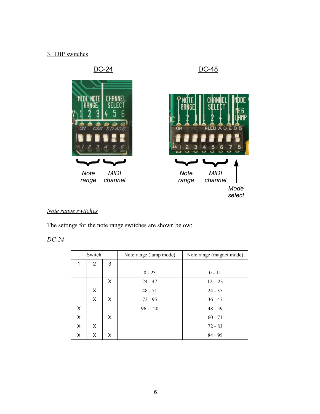# 3. DIP switches



# *Note range switches*

The settings for the note range switches are shown below:

# *DC-24*

| Switch |                |   | Note range (lamp mode)<br>Note range (magnet mode) |           |
|--------|----------------|---|----------------------------------------------------|-----------|
| 1      | $\overline{2}$ | 3 |                                                    |           |
|        |                |   | $0 - 23$                                           | $0 - 11$  |
|        |                | X | $24 - 47$                                          | $12 - 23$ |
|        | X              |   | $48 - 71$                                          | $24 - 35$ |
|        | X              | X | $72 - 95$                                          | $36 - 47$ |
| X      |                |   | $96 - 120$                                         | $48 - 59$ |
| X      |                | X |                                                    | $60 - 71$ |
| X      | X              |   |                                                    | $72 - 83$ |
| X      | X              | X |                                                    | $84 - 95$ |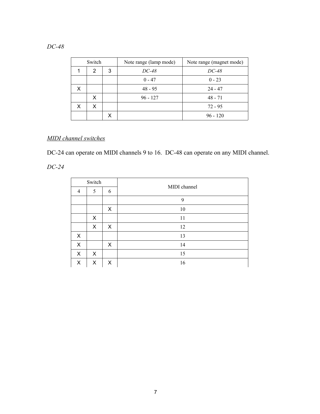| Switch |        |   | Note range (lamp mode) | Note range (magnet mode) |  |
|--------|--------|---|------------------------|--------------------------|--|
|        | 3<br>2 |   | DC-48                  | DC-48                    |  |
|        |        |   | $0 - 47$               | $0 - 23$                 |  |
| X      |        |   | $48 - 95$              | $24 - 47$                |  |
|        | x      |   | $96 - 127$             | $48 - 71$                |  |
| x      | X      |   |                        | 72 - 95                  |  |
|        |        | х |                        | $96 - 120$               |  |

# *DC-48*

# *MIDI channel switches*

DC-24 can operate on MIDI channels 9 to 16. DC-48 can operate on any MIDI channel.

*DC-24*

| Switch         |   |   |              |
|----------------|---|---|--------------|
| $\overline{4}$ | 5 | 6 | MIDI channel |
|                |   |   | 9            |
|                |   | X | 10           |
|                | X |   | 11           |
|                | X | X | 12           |
| X              |   |   | 13           |
| X              |   | X | 14           |
| X              | X |   | 15           |
| X              | X | X | 16           |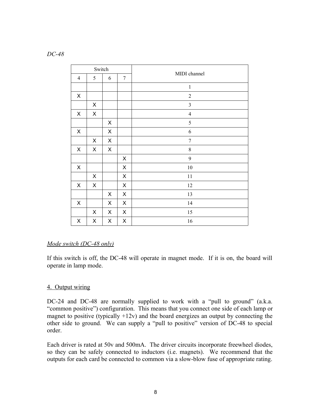| Switch         |                |                |                 |                  |
|----------------|----------------|----------------|-----------------|------------------|
| $\overline{4}$ | 5              | 6              | $7\phantom{.0}$ | MIDI channel     |
|                |                |                |                 | $\,1$            |
| X              |                |                |                 | $\sqrt{2}$       |
|                | $\pmb{\times}$ |                |                 | $\mathfrak{Z}$   |
| X              | $\pmb{\times}$ |                |                 | $\overline{4}$   |
|                |                | $\pmb{\times}$ |                 | $\mathfrak s$    |
| $\pmb{\times}$ |                | $\mathsf X$    |                 | 6                |
|                | X              | X              |                 | $\boldsymbol{7}$ |
| X              | X              | X              |                 | $\,$ $\,$        |
|                |                |                | X               | 9                |
| X              |                |                | $\pmb{\times}$  | 10               |
|                | $\pmb{\times}$ |                | $\pmb{\times}$  | $11\,$           |
| $\pmb{\times}$ | $\mathsf X$    |                | X               | 12               |
|                |                | X              | X               | 13               |
| $\pmb{\times}$ |                | X              | X               | 14               |
|                | X              | X              | X               | 15               |
| X              | X              | X              | X               | 16               |

## *Mode switch (DC-48 only)*

If this switch is off, the DC-48 will operate in magnet mode. If it is on, the board will operate in lamp mode.

## 4. Output wiring

DC-24 and DC-48 are normally supplied to work with a "pull to ground" (a.k.a. "common positive") configuration. This means that you connect one side of each lamp or magnet to positive (typically  $+12v$ ) and the board energizes an output by connecting the other side to ground. We can supply a "pull to positive" version of DC-48 to special order.

Each driver is rated at 50v and 500mA. The driver circuits incorporate freewheel diodes, so they can be safely connected to inductors (i.e. magnets). We recommend that the outputs for each card be connected to common via a slow-blow fuse of appropriate rating.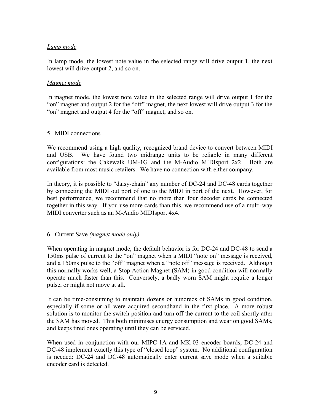# *Lamp mode*

In lamp mode, the lowest note value in the selected range will drive output 1, the next lowest will drive output 2, and so on.

# *Magnet mode*

In magnet mode, the lowest note value in the selected range will drive output 1 for the "on" magnet and output 2 for the "off" magnet, the next lowest will drive output 3 for the "on" magnet and output 4 for the "off" magnet, and so on.

## 5. MIDI connections

We recommend using a high quality, recognized brand device to convert between MIDI and USB. We have found two midrange units to be reliable in many different configurations: the Cakewalk UM-1G and the M-Audio MIDIsport 2x2. Both are available from most music retailers. We have no connection with either company.

In theory, it is possible to "daisy-chain" any number of DC-24 and DC-48 cards together by connecting the MIDI out port of one to the MIDI in port of the next. However, for best performance, we recommend that no more than four decoder cards be connected together in this way. If you use more cards than this, we recommend use of a multi-way MIDI converter such as an M-Audio MIDIsport 4x4.

# 6. Current Save *(magnet mode only)*

When operating in magnet mode, the default behavior is for DC-24 and DC-48 to send a 150ms pulse of current to the "on" magnet when a MIDI "note on" message is received, and a 150ms pulse to the "off" magnet when a "note off" message is received. Although this normally works well, a Stop Action Magnet (SAM) in good condition will normally operate much faster than this. Conversely, a badly worn SAM might require a longer pulse, or might not move at all.

It can be time-consuming to maintain dozens or hundreds of SAMs in good condition, especially if some or all were acquired secondhand in the first place. A more robust solution is to monitor the switch position and turn off the current to the coil shortly after the SAM has moved. This both minimises energy consumption and wear on good SAMs, and keeps tired ones operating until they can be serviced.

When used in conjunction with our MIPC-1A and MK-03 encoder boards, DC-24 and DC-48 implement exactly this type of "closed loop" system. No additional configuration is needed: DC-24 and DC-48 automatically enter current save mode when a suitable encoder card is detected.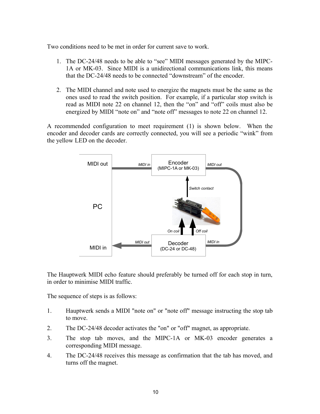Two conditions need to be met in order for current save to work.

- 1. The DC-24/48 needs to be able to "see" MIDI messages generated by the MIPC-1A or MK-03. Since MIDI is a unidirectional communications link, this means that the DC-24/48 needs to be connected "downstream" of the encoder.
- 2. The MIDI channel and note used to energize the magnets must be the same as the ones used to read the switch position. For example, if a particular stop switch is read as MIDI note 22 on channel 12, then the "on" and "off" coils must also be energized by MIDI "note on" and "note off" messages to note 22 on channel 12.

A recommended configuration to meet requirement (1) is shown below. When the encoder and decoder cards are correctly connected, you will see a periodic "wink" from the yellow LED on the decoder.



The Hauptwerk MIDI echo feature should preferably be turned off for each stop in turn, in order to minimise MIDI traffic.

The sequence of steps is as follows:

- 1. Hauptwerk sends a MIDI "note on" or "note off" message instructing the stop tab to move.
- 2. The DC-24/48 decoder activates the "on" or "off" magnet, as appropriate.
- 3. The stop tab moves, and the MIPC-1A or MK-03 encoder generates a corresponding MIDI message.
- 4. The DC-24/48 receives this message as confirmation that the tab has moved, and turns off the magnet.